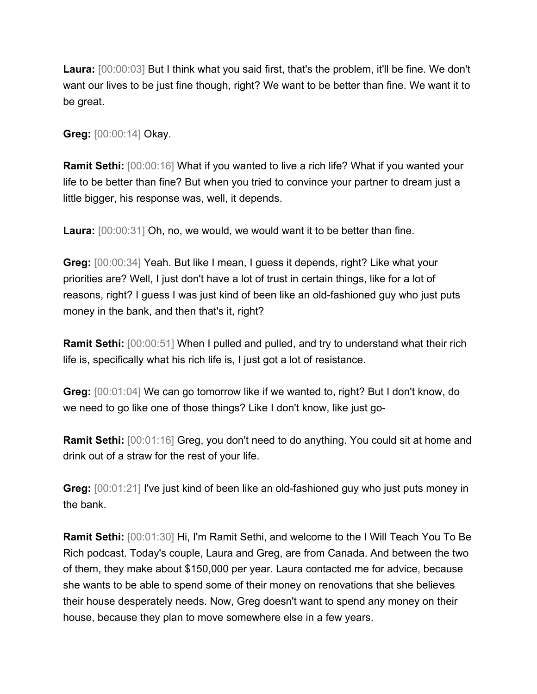**Laura:** [00:00:03] But I think what you said first, that's the problem, it'll be fine. We don't want our lives to be just fine though, right? We want to be better than fine. We want it to be great.

**Greg:** [00:00:14] Okay.

**Ramit Sethi:** [00:00:16] What if you wanted to live a rich life? What if you wanted your life to be better than fine? But when you tried to convince your partner to dream just a little bigger, his response was, well, it depends.

**Laura:** [00:00:31] Oh, no, we would, we would want it to be better than fine.

**Greg:** [00:00:34] Yeah. But like I mean, I guess it depends, right? Like what your priorities are? Well, I just don't have a lot of trust in certain things, like for a lot of reasons, right? I guess I was just kind of been like an old-fashioned guy who just puts money in the bank, and then that's it, right?

**Ramit Sethi:** [00:00:51] When I pulled and pulled, and try to understand what their rich life is, specifically what his rich life is, I just got a lot of resistance.

**Greg:** [00:01:04] We can go tomorrow like if we wanted to, right? But I don't know, do we need to go like one of those things? Like I don't know, like just go-

**Ramit Sethi:** [00:01:16] Greg, you don't need to do anything. You could sit at home and drink out of a straw for the rest of your life.

**Greg:** [00:01:21] I've just kind of been like an old-fashioned guy who just puts money in the bank.

**Ramit Sethi:** [00:01:30] Hi, I'm Ramit Sethi, and welcome to the I Will Teach You To Be Rich podcast. Today's couple, Laura and Greg, are from Canada. And between the two of them, they make about \$150,000 per year. Laura contacted me for advice, because she wants to be able to spend some of their money on renovations that she believes their house desperately needs. Now, Greg doesn't want to spend any money on their house, because they plan to move somewhere else in a few years.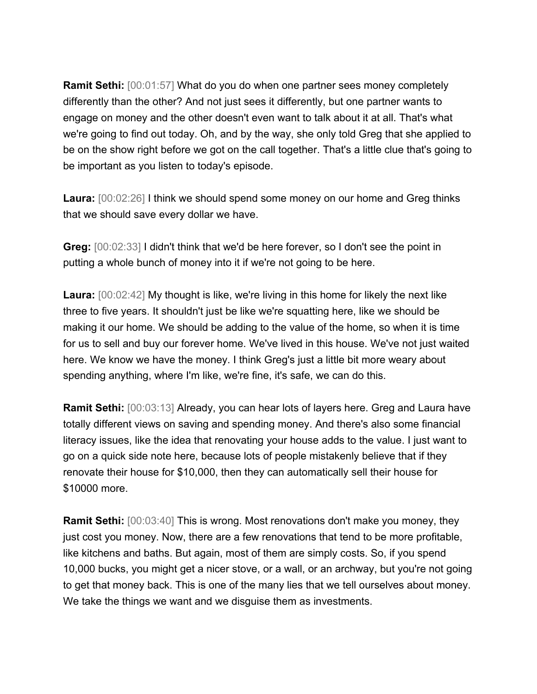**Ramit Sethi:** [00:01:57] What do you do when one partner sees money completely differently than the other? And not just sees it differently, but one partner wants to engage on money and the other doesn't even want to talk about it at all. That's what we're going to find out today. Oh, and by the way, she only told Greg that she applied to be on the show right before we got on the call together. That's a little clue that's going to be important as you listen to today's episode.

**Laura:** [00:02:26] I think we should spend some money on our home and Greg thinks that we should save every dollar we have.

**Greg:** [00:02:33] I didn't think that we'd be here forever, so I don't see the point in putting a whole bunch of money into it if we're not going to be here.

**Laura:** [00:02:42] My thought is like, we're living in this home for likely the next like three to five years. It shouldn't just be like we're squatting here, like we should be making it our home. We should be adding to the value of the home, so when it is time for us to sell and buy our forever home. We've lived in this house. We've not just waited here. We know we have the money. I think Greg's just a little bit more weary about spending anything, where I'm like, we're fine, it's safe, we can do this.

**Ramit Sethi:** [00:03:13] Already, you can hear lots of layers here. Greg and Laura have totally different views on saving and spending money. And there's also some financial literacy issues, like the idea that renovating your house adds to the value. I just want to go on a quick side note here, because lots of people mistakenly believe that if they renovate their house for \$10,000, then they can automatically sell their house for \$10000 more.

**Ramit Sethi:** [00:03:40] This is wrong. Most renovations don't make you money, they just cost you money. Now, there are a few renovations that tend to be more profitable, like kitchens and baths. But again, most of them are simply costs. So, if you spend 10,000 bucks, you might get a nicer stove, or a wall, or an archway, but you're not going to get that money back. This is one of the many lies that we tell ourselves about money. We take the things we want and we disguise them as investments.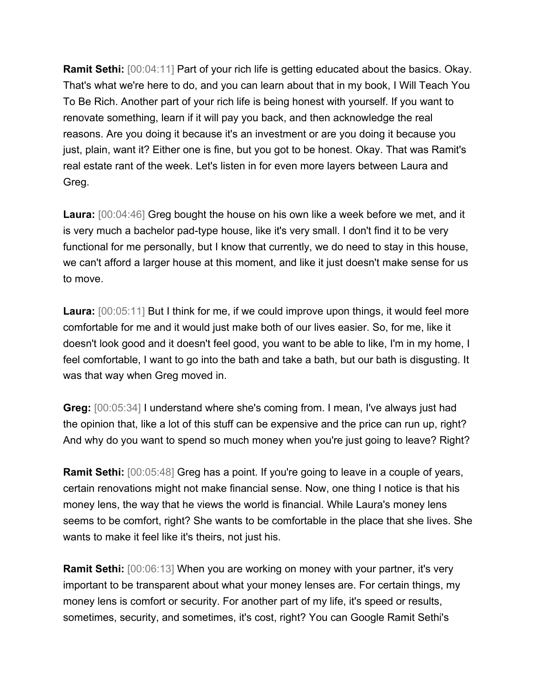**Ramit Sethi:** [00:04:11] Part of your rich life is getting educated about the basics. Okay. That's what we're here to do, and you can learn about that in my book, I Will Teach You To Be Rich. Another part of your rich life is being honest with yourself. If you want to renovate something, learn if it will pay you back, and then acknowledge the real reasons. Are you doing it because it's an investment or are you doing it because you just, plain, want it? Either one is fine, but you got to be honest. Okay. That was Ramit's real estate rant of the week. Let's listen in for even more layers between Laura and Greg.

**Laura:** [00:04:46] Greg bought the house on his own like a week before we met, and it is very much a bachelor pad-type house, like it's very small. I don't find it to be very functional for me personally, but I know that currently, we do need to stay in this house, we can't afford a larger house at this moment, and like it just doesn't make sense for us to move.

**Laura:** [00:05:11] But I think for me, if we could improve upon things, it would feel more comfortable for me and it would just make both of our lives easier. So, for me, like it doesn't look good and it doesn't feel good, you want to be able to like, I'm in my home, I feel comfortable, I want to go into the bath and take a bath, but our bath is disgusting. It was that way when Greg moved in.

**Greg:** [00:05:34] I understand where she's coming from. I mean, I've always just had the opinion that, like a lot of this stuff can be expensive and the price can run up, right? And why do you want to spend so much money when you're just going to leave? Right?

**Ramit Sethi:** [00:05:48] Greg has a point. If you're going to leave in a couple of years, certain renovations might not make financial sense. Now, one thing I notice is that his money lens, the way that he views the world is financial. While Laura's money lens seems to be comfort, right? She wants to be comfortable in the place that she lives. She wants to make it feel like it's theirs, not just his.

**Ramit Sethi:** [00:06:13] When you are working on money with your partner, it's very important to be transparent about what your money lenses are. For certain things, my money lens is comfort or security. For another part of my life, it's speed or results, sometimes, security, and sometimes, it's cost, right? You can Google Ramit Sethi's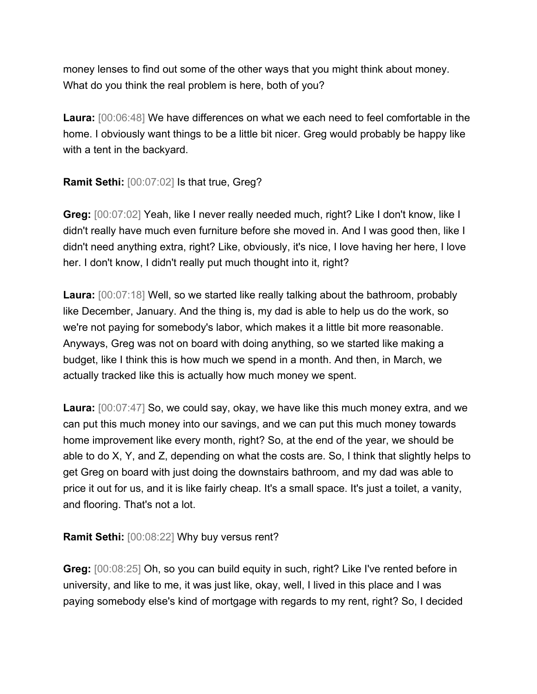money lenses to find out some of the other ways that you might think about money. What do you think the real problem is here, both of you?

**Laura:** [00:06:48] We have differences on what we each need to feel comfortable in the home. I obviously want things to be a little bit nicer. Greg would probably be happy like with a tent in the backyard.

**Ramit Sethi:** [00:07:02] Is that true, Greg?

**Greg:** [00:07:02] Yeah, like I never really needed much, right? Like I don't know, like I didn't really have much even furniture before she moved in. And I was good then, like I didn't need anything extra, right? Like, obviously, it's nice, I love having her here, I love her. I don't know, I didn't really put much thought into it, right?

**Laura:** [00:07:18] Well, so we started like really talking about the bathroom, probably like December, January. And the thing is, my dad is able to help us do the work, so we're not paying for somebody's labor, which makes it a little bit more reasonable. Anyways, Greg was not on board with doing anything, so we started like making a budget, like I think this is how much we spend in a month. And then, in March, we actually tracked like this is actually how much money we spent.

**Laura:** [00:07:47] So, we could say, okay, we have like this much money extra, and we can put this much money into our savings, and we can put this much money towards home improvement like every month, right? So, at the end of the year, we should be able to do X, Y, and Z, depending on what the costs are. So, I think that slightly helps to get Greg on board with just doing the downstairs bathroom, and my dad was able to price it out for us, and it is like fairly cheap. It's a small space. It's just a toilet, a vanity, and flooring. That's not a lot.

**Ramit Sethi:** [00:08:22] Why buy versus rent?

**Greg:** [00:08:25] Oh, so you can build equity in such, right? Like I've rented before in university, and like to me, it was just like, okay, well, I lived in this place and I was paying somebody else's kind of mortgage with regards to my rent, right? So, I decided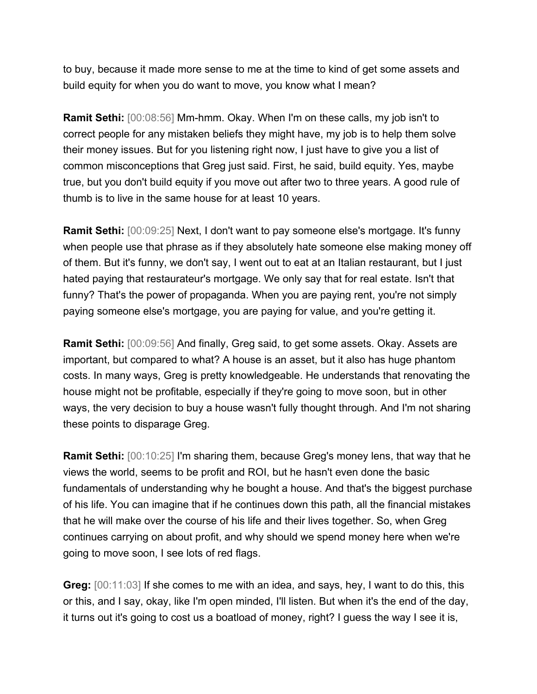to buy, because it made more sense to me at the time to kind of get some assets and build equity for when you do want to move, you know what I mean?

**Ramit Sethi:** [00:08:56] Mm-hmm. Okay. When I'm on these calls, my job isn't to correct people for any mistaken beliefs they might have, my job is to help them solve their money issues. But for you listening right now, I just have to give you a list of common misconceptions that Greg just said. First, he said, build equity. Yes, maybe true, but you don't build equity if you move out after two to three years. A good rule of thumb is to live in the same house for at least 10 years.

**Ramit Sethi:** [00:09:25] Next, I don't want to pay someone else's mortgage. It's funny when people use that phrase as if they absolutely hate someone else making money off of them. But it's funny, we don't say, I went out to eat at an Italian restaurant, but I just hated paying that restaurateur's mortgage. We only say that for real estate. Isn't that funny? That's the power of propaganda. When you are paying rent, you're not simply paying someone else's mortgage, you are paying for value, and you're getting it.

**Ramit Sethi:** [00:09:56] And finally, Greg said, to get some assets. Okay. Assets are important, but compared to what? A house is an asset, but it also has huge phantom costs. In many ways, Greg is pretty knowledgeable. He understands that renovating the house might not be profitable, especially if they're going to move soon, but in other ways, the very decision to buy a house wasn't fully thought through. And I'm not sharing these points to disparage Greg.

**Ramit Sethi:** [00:10:25] I'm sharing them, because Greg's money lens, that way that he views the world, seems to be profit and ROI, but he hasn't even done the basic fundamentals of understanding why he bought a house. And that's the biggest purchase of his life. You can imagine that if he continues down this path, all the financial mistakes that he will make over the course of his life and their lives together. So, when Greg continues carrying on about profit, and why should we spend money here when we're going to move soon, I see lots of red flags.

**Greg:** [00:11:03] If she comes to me with an idea, and says, hey, I want to do this, this or this, and I say, okay, like I'm open minded, I'll listen. But when it's the end of the day, it turns out it's going to cost us a boatload of money, right? I guess the way I see it is,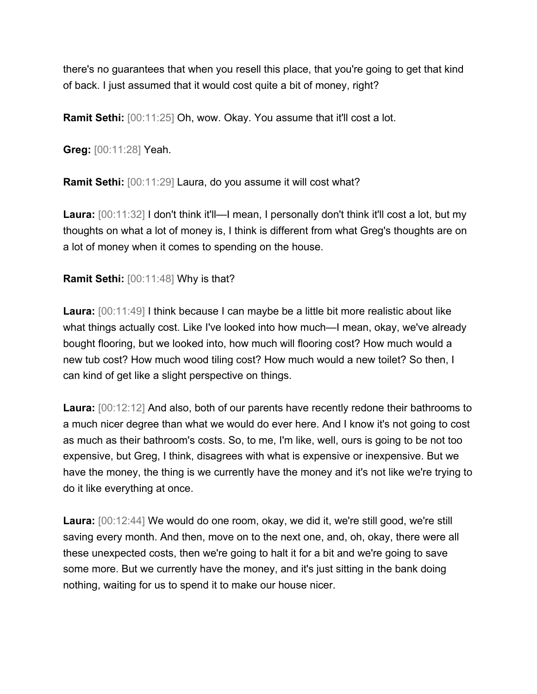there's no guarantees that when you resell this place, that you're going to get that kind of back. I just assumed that it would cost quite a bit of money, right?

**Ramit Sethi:** [00:11:25] Oh, wow. Okay. You assume that it'll cost a lot.

**Greg:** [00:11:28] Yeah.

**Ramit Sethi:** [00:11:29] Laura, do you assume it will cost what?

**Laura:** [00:11:32] I don't think it'll—I mean, I personally don't think it'll cost a lot, but my thoughts on what a lot of money is, I think is different from what Greg's thoughts are on a lot of money when it comes to spending on the house.

**Ramit Sethi:** [00:11:48] Why is that?

**Laura:** [00:11:49] I think because I can maybe be a little bit more realistic about like what things actually cost. Like I've looked into how much—I mean, okay, we've already bought flooring, but we looked into, how much will flooring cost? How much would a new tub cost? How much wood tiling cost? How much would a new toilet? So then, I can kind of get like a slight perspective on things.

**Laura:** [00:12:12] And also, both of our parents have recently redone their bathrooms to a much nicer degree than what we would do ever here. And I know it's not going to cost as much as their bathroom's costs. So, to me, I'm like, well, ours is going to be not too expensive, but Greg, I think, disagrees with what is expensive or inexpensive. But we have the money, the thing is we currently have the money and it's not like we're trying to do it like everything at once.

**Laura:** [00:12:44] We would do one room, okay, we did it, we're still good, we're still saving every month. And then, move on to the next one, and, oh, okay, there were all these unexpected costs, then we're going to halt it for a bit and we're going to save some more. But we currently have the money, and it's just sitting in the bank doing nothing, waiting for us to spend it to make our house nicer.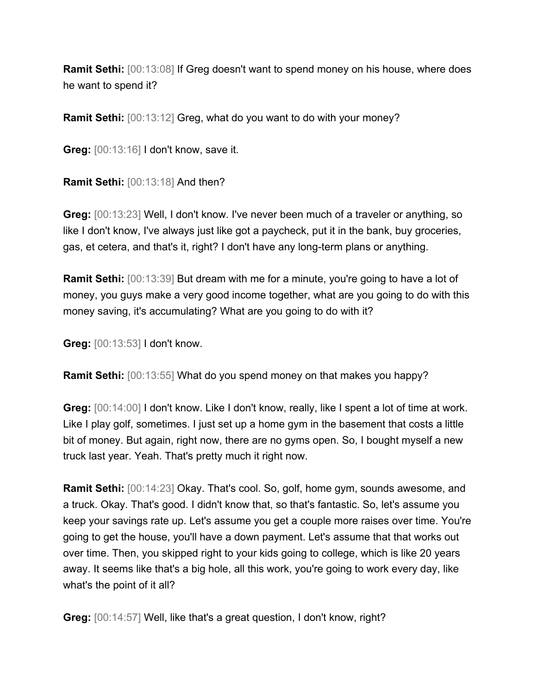**Ramit Sethi:** [00:13:08] If Greg doesn't want to spend money on his house, where does he want to spend it?

**Ramit Sethi:** [00:13:12] Greg, what do you want to do with your money?

**Greg:** [00:13:16] I don't know, save it.

**Ramit Sethi:** [00:13:18] And then?

**Greg:** [00:13:23] Well, I don't know. I've never been much of a traveler or anything, so like I don't know, I've always just like got a paycheck, put it in the bank, buy groceries, gas, et cetera, and that's it, right? I don't have any long-term plans or anything.

**Ramit Sethi:** [00:13:39] But dream with me for a minute, you're going to have a lot of money, you guys make a very good income together, what are you going to do with this money saving, it's accumulating? What are you going to do with it?

**Greg:** [00:13:53] I don't know.

**Ramit Sethi:** [00:13:55] What do you spend money on that makes you happy?

**Greg:** [00:14:00] I don't know. Like I don't know, really, like I spent a lot of time at work. Like I play golf, sometimes. I just set up a home gym in the basement that costs a little bit of money. But again, right now, there are no gyms open. So, I bought myself a new truck last year. Yeah. That's pretty much it right now.

**Ramit Sethi:** [00:14:23] Okay. That's cool. So, golf, home gym, sounds awesome, and a truck. Okay. That's good. I didn't know that, so that's fantastic. So, let's assume you keep your savings rate up. Let's assume you get a couple more raises over time. You're going to get the house, you'll have a down payment. Let's assume that that works out over time. Then, you skipped right to your kids going to college, which is like 20 years away. It seems like that's a big hole, all this work, you're going to work every day, like what's the point of it all?

**Greg:** [00:14:57] Well, like that's a great question, I don't know, right?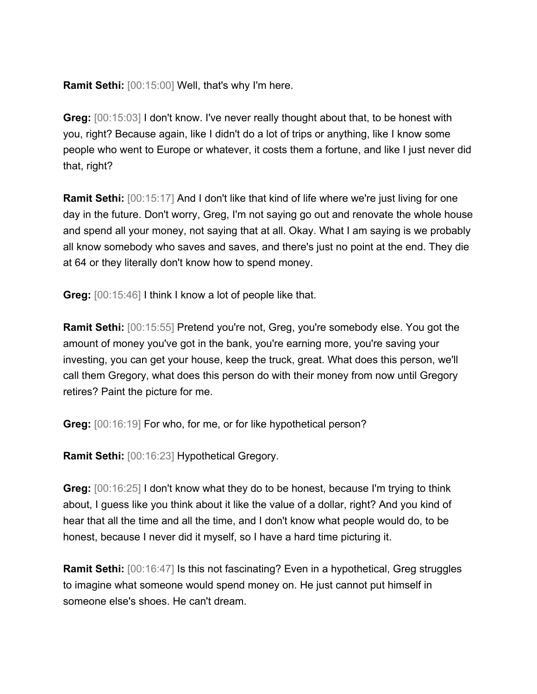**Ramit Sethi:** [00:15:00] Well, that's why I'm here.

**Greg:** [00:15:03] I don't know. I've never really thought about that, to be honest with you, right? Because again, like I didn't do a lot of trips or anything, like I know some people who went to Europe or whatever, it costs them a fortune, and like I just never did that, right?

**Ramit Sethi:** [00:15:17] And I don't like that kind of life where we're just living for one day in the future. Don't worry, Greg, I'm not saying go out and renovate the whole house and spend all your money, not saying that at all. Okay. What I am saying is we probably all know somebody who saves and saves, and there's just no point at the end. They die at 64 or they literally don't know how to spend money.

**Greg:** [00:15:46] I think I know a lot of people like that.

**Ramit Sethi:** [00:15:55] Pretend you're not, Greg, you're somebody else. You got the amount of money you've got in the bank, you're earning more, you're saving your investing, you can get your house, keep the truck, great. What does this person, we'll call them Gregory, what does this person do with their money from now until Gregory retires? Paint the picture for me.

**Greg:** [00:16:19] For who, for me, or for like hypothetical person?

**Ramit Sethi:** [00:16:23] Hypothetical Gregory.

**Greg:** [00:16:25] I don't know what they do to be honest, because I'm trying to think about, I guess like you think about it like the value of a dollar, right? And you kind of hear that all the time and all the time, and I don't know what people would do, to be honest, because I never did it myself, so I have a hard time picturing it.

**Ramit Sethi:** [00:16:47] Is this not fascinating? Even in a hypothetical, Greg struggles to imagine what someone would spend money on. He just cannot put himself in someone else's shoes. He can't dream.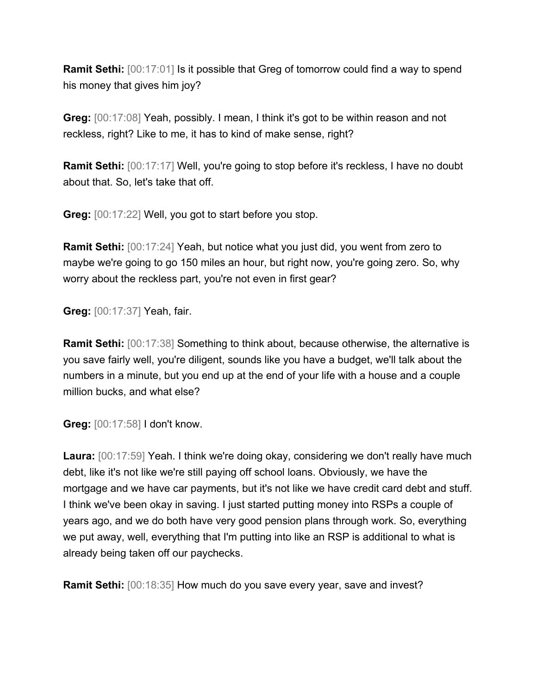**Ramit Sethi:** [00:17:01] Is it possible that Greg of tomorrow could find a way to spend his money that gives him joy?

**Greg:** [00:17:08] Yeah, possibly. I mean, I think it's got to be within reason and not reckless, right? Like to me, it has to kind of make sense, right?

**Ramit Sethi:** [00:17:17] Well, you're going to stop before it's reckless, I have no doubt about that. So, let's take that off.

**Greg:** [00:17:22] Well, you got to start before you stop.

**Ramit Sethi:** [00:17:24] Yeah, but notice what you just did, you went from zero to maybe we're going to go 150 miles an hour, but right now, you're going zero. So, why worry about the reckless part, you're not even in first gear?

**Greg:** [00:17:37] Yeah, fair.

**Ramit Sethi:** [00:17:38] Something to think about, because otherwise, the alternative is you save fairly well, you're diligent, sounds like you have a budget, we'll talk about the numbers in a minute, but you end up at the end of your life with a house and a couple million bucks, and what else?

**Greg:** [00:17:58] I don't know.

Laura: [00:17:59] Yeah. I think we're doing okay, considering we don't really have much debt, like it's not like we're still paying off school loans. Obviously, we have the mortgage and we have car payments, but it's not like we have credit card debt and stuff. I think we've been okay in saving. I just started putting money into RSPs a couple of years ago, and we do both have very good pension plans through work. So, everything we put away, well, everything that I'm putting into like an RSP is additional to what is already being taken off our paychecks.

**Ramit Sethi:** [00:18:35] How much do you save every year, save and invest?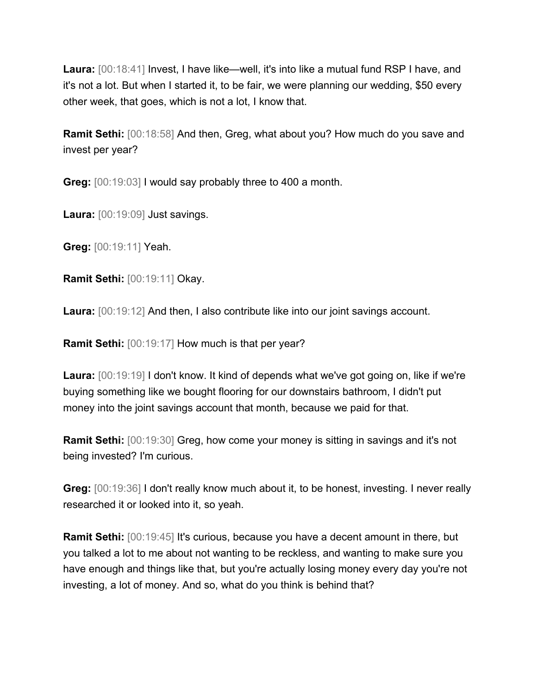**Laura:** [00:18:41] Invest, I have like—well, it's into like a mutual fund RSP I have, and it's not a lot. But when I started it, to be fair, we were planning our wedding, \$50 every other week, that goes, which is not a lot, I know that.

**Ramit Sethi:** [00:18:58] And then, Greg, what about you? How much do you save and invest per year?

**Greg:** [00:19:03] I would say probably three to 400 a month.

**Laura:** [00:19:09] Just savings.

**Greg:** [00:19:11] Yeah.

**Ramit Sethi:** [00:19:11] Okay.

**Laura:** [00:19:12] And then, I also contribute like into our joint savings account.

**Ramit Sethi:** [00:19:17] How much is that per year?

Laura: [00:19:19] I don't know. It kind of depends what we've got going on, like if we're buying something like we bought flooring for our downstairs bathroom, I didn't put money into the joint savings account that month, because we paid for that.

**Ramit Sethi:** [00:19:30] Greg, how come your money is sitting in savings and it's not being invested? I'm curious.

**Greg:** [00:19:36] I don't really know much about it, to be honest, investing. I never really researched it or looked into it, so yeah.

**Ramit Sethi:** [00:19:45] It's curious, because you have a decent amount in there, but you talked a lot to me about not wanting to be reckless, and wanting to make sure you have enough and things like that, but you're actually losing money every day you're not investing, a lot of money. And so, what do you think is behind that?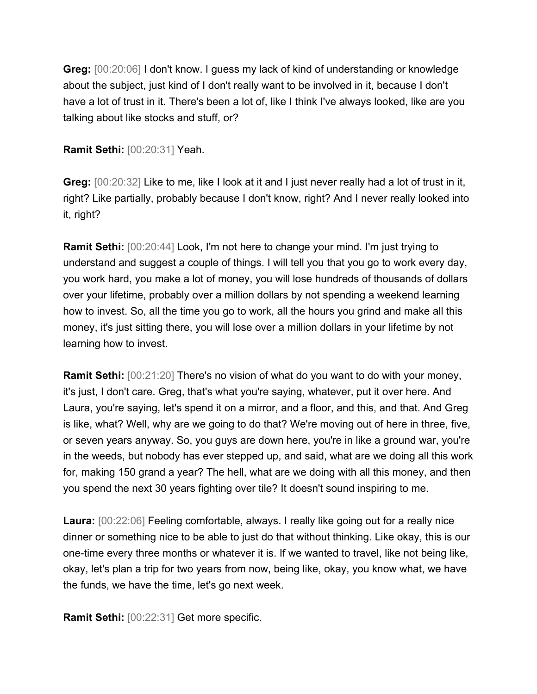**Greg:** [00:20:06] I don't know. I guess my lack of kind of understanding or knowledge about the subject, just kind of I don't really want to be involved in it, because I don't have a lot of trust in it. There's been a lot of, like I think I've always looked, like are you talking about like stocks and stuff, or?

**Ramit Sethi:** [00:20:31] Yeah.

**Greg:** [00:20:32] Like to me, like I look at it and I just never really had a lot of trust in it, right? Like partially, probably because I don't know, right? And I never really looked into it, right?

**Ramit Sethi:** [00:20:44] Look, I'm not here to change your mind. I'm just trying to understand and suggest a couple of things. I will tell you that you go to work every day, you work hard, you make a lot of money, you will lose hundreds of thousands of dollars over your lifetime, probably over a million dollars by not spending a weekend learning how to invest. So, all the time you go to work, all the hours you grind and make all this money, it's just sitting there, you will lose over a million dollars in your lifetime by not learning how to invest.

**Ramit Sethi:** [00:21:20] There's no vision of what do you want to do with your money, it's just, I don't care. Greg, that's what you're saying, whatever, put it over here. And Laura, you're saying, let's spend it on a mirror, and a floor, and this, and that. And Greg is like, what? Well, why are we going to do that? We're moving out of here in three, five, or seven years anyway. So, you guys are down here, you're in like a ground war, you're in the weeds, but nobody has ever stepped up, and said, what are we doing all this work for, making 150 grand a year? The hell, what are we doing with all this money, and then you spend the next 30 years fighting over tile? It doesn't sound inspiring to me.

**Laura:** [00:22:06] Feeling comfortable, always. I really like going out for a really nice dinner or something nice to be able to just do that without thinking. Like okay, this is our one-time every three months or whatever it is. If we wanted to travel, like not being like, okay, let's plan a trip for two years from now, being like, okay, you know what, we have the funds, we have the time, let's go next week.

**Ramit Sethi:** [00:22:31] Get more specific.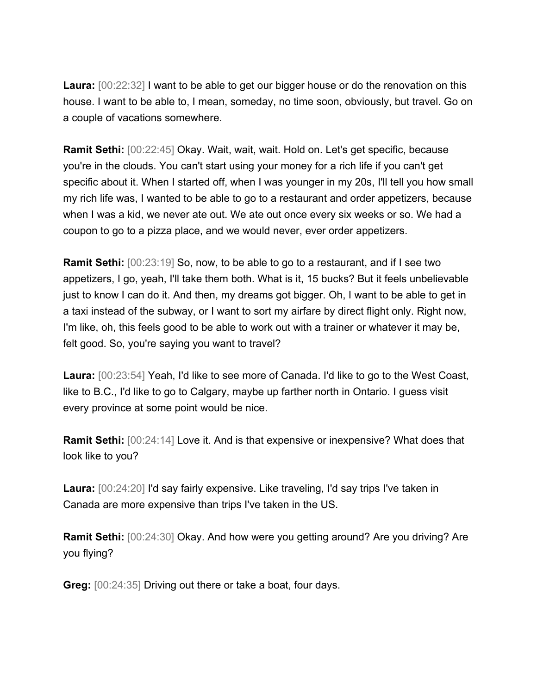**Laura:** [00:22:32] I want to be able to get our bigger house or do the renovation on this house. I want to be able to, I mean, someday, no time soon, obviously, but travel. Go on a couple of vacations somewhere.

**Ramit Sethi:** [00:22:45] Okay. Wait, wait, wait. Hold on. Let's get specific, because you're in the clouds. You can't start using your money for a rich life if you can't get specific about it. When I started off, when I was younger in my 20s, I'll tell you how small my rich life was, I wanted to be able to go to a restaurant and order appetizers, because when I was a kid, we never ate out. We ate out once every six weeks or so. We had a coupon to go to a pizza place, and we would never, ever order appetizers.

**Ramit Sethi:** [00:23:19] So, now, to be able to go to a restaurant, and if I see two appetizers, I go, yeah, I'll take them both. What is it, 15 bucks? But it feels unbelievable just to know I can do it. And then, my dreams got bigger. Oh, I want to be able to get in a taxi instead of the subway, or I want to sort my airfare by direct flight only. Right now, I'm like, oh, this feels good to be able to work out with a trainer or whatever it may be, felt good. So, you're saying you want to travel?

**Laura:** [00:23:54] Yeah, I'd like to see more of Canada. I'd like to go to the West Coast, like to B.C., I'd like to go to Calgary, maybe up farther north in Ontario. I guess visit every province at some point would be nice.

**Ramit Sethi:** [00:24:14] Love it. And is that expensive or inexpensive? What does that look like to you?

**Laura:** [00:24:20] I'd say fairly expensive. Like traveling, I'd say trips I've taken in Canada are more expensive than trips I've taken in the US.

**Ramit Sethi:** [00:24:30] Okay. And how were you getting around? Are you driving? Are you flying?

**Greg:** [00:24:35] Driving out there or take a boat, four days.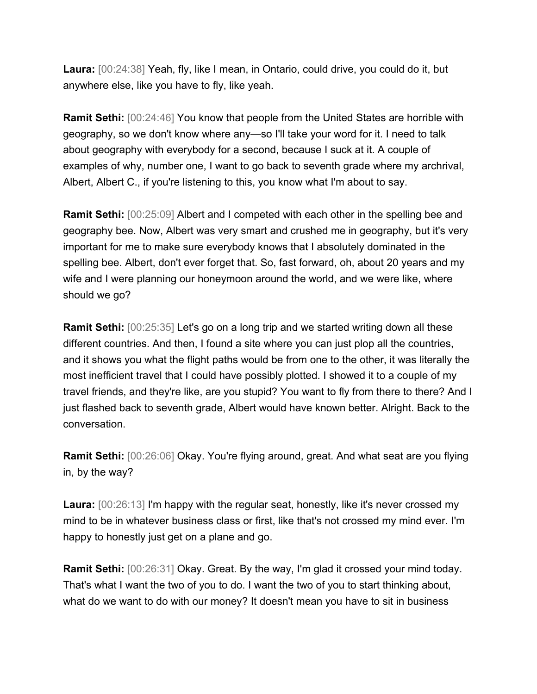**Laura:** [00:24:38] Yeah, fly, like I mean, in Ontario, could drive, you could do it, but anywhere else, like you have to fly, like yeah.

**Ramit Sethi:** [00:24:46] You know that people from the United States are horrible with geography, so we don't know where any—so I'll take your word for it. I need to talk about geography with everybody for a second, because I suck at it. A couple of examples of why, number one, I want to go back to seventh grade where my archrival, Albert, Albert C., if you're listening to this, you know what I'm about to say.

**Ramit Sethi:** [00:25:09] Albert and I competed with each other in the spelling bee and geography bee. Now, Albert was very smart and crushed me in geography, but it's very important for me to make sure everybody knows that I absolutely dominated in the spelling bee. Albert, don't ever forget that. So, fast forward, oh, about 20 years and my wife and I were planning our honeymoon around the world, and we were like, where should we go?

**Ramit Sethi:** [00:25:35] Let's go on a long trip and we started writing down all these different countries. And then, I found a site where you can just plop all the countries, and it shows you what the flight paths would be from one to the other, it was literally the most inefficient travel that I could have possibly plotted. I showed it to a couple of my travel friends, and they're like, are you stupid? You want to fly from there to there? And I just flashed back to seventh grade, Albert would have known better. Alright. Back to the conversation.

**Ramit Sethi:** [00:26:06] Okay. You're flying around, great. And what seat are you flying in, by the way?

**Laura:** [00:26:13] I'm happy with the regular seat, honestly, like it's never crossed my mind to be in whatever business class or first, like that's not crossed my mind ever. I'm happy to honestly just get on a plane and go.

**Ramit Sethi:** [00:26:31] Okay. Great. By the way, I'm glad it crossed your mind today. That's what I want the two of you to do. I want the two of you to start thinking about, what do we want to do with our money? It doesn't mean you have to sit in business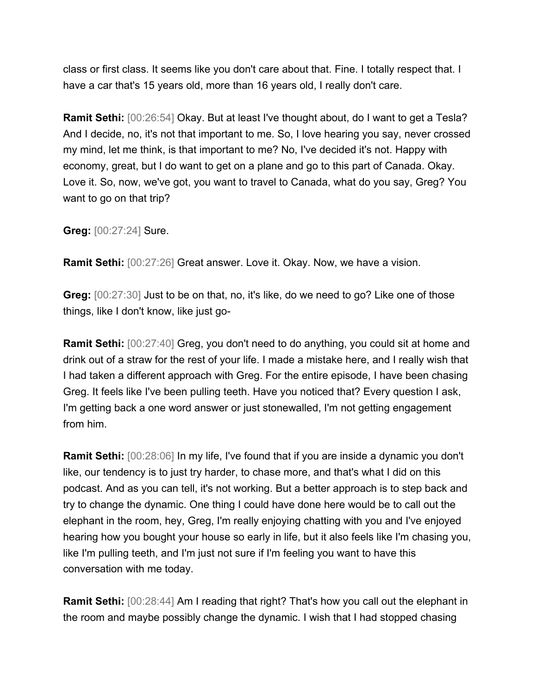class or first class. It seems like you don't care about that. Fine. I totally respect that. I have a car that's 15 years old, more than 16 years old, I really don't care.

**Ramit Sethi:** [00:26:54] Okay. But at least I've thought about, do I want to get a Tesla? And I decide, no, it's not that important to me. So, I love hearing you say, never crossed my mind, let me think, is that important to me? No, I've decided it's not. Happy with economy, great, but I do want to get on a plane and go to this part of Canada. Okay. Love it. So, now, we've got, you want to travel to Canada, what do you say, Greg? You want to go on that trip?

**Greg:** [00:27:24] Sure.

**Ramit Sethi:** [00:27:26] Great answer. Love it. Okay. Now, we have a vision.

**Greg:** [00:27:30] Just to be on that, no, it's like, do we need to go? Like one of those things, like I don't know, like just go-

**Ramit Sethi:** [00:27:40] Greg, you don't need to do anything, you could sit at home and drink out of a straw for the rest of your life. I made a mistake here, and I really wish that I had taken a different approach with Greg. For the entire episode, I have been chasing Greg. It feels like I've been pulling teeth. Have you noticed that? Every question I ask, I'm getting back a one word answer or just stonewalled, I'm not getting engagement from him.

**Ramit Sethi:** [00:28:06] In my life, I've found that if you are inside a dynamic you don't like, our tendency is to just try harder, to chase more, and that's what I did on this podcast. And as you can tell, it's not working. But a better approach is to step back and try to change the dynamic. One thing I could have done here would be to call out the elephant in the room, hey, Greg, I'm really enjoying chatting with you and I've enjoyed hearing how you bought your house so early in life, but it also feels like I'm chasing you, like I'm pulling teeth, and I'm just not sure if I'm feeling you want to have this conversation with me today.

**Ramit Sethi:** [00:28:44] Am I reading that right? That's how you call out the elephant in the room and maybe possibly change the dynamic. I wish that I had stopped chasing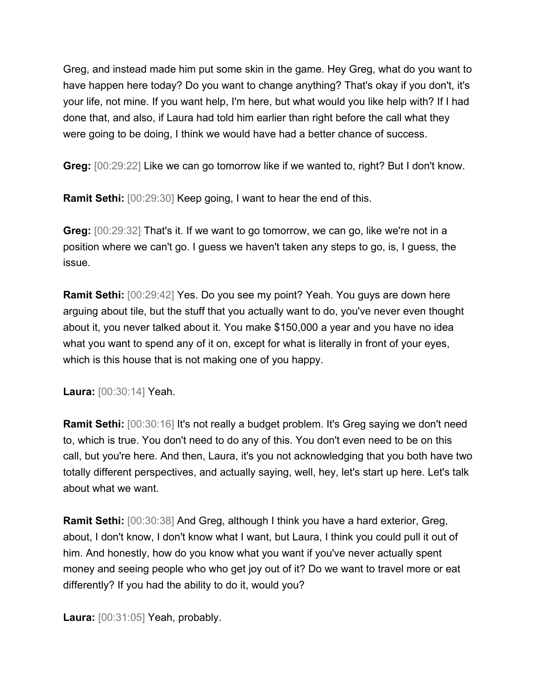Greg, and instead made him put some skin in the game. Hey Greg, what do you want to have happen here today? Do you want to change anything? That's okay if you don't, it's your life, not mine. If you want help, I'm here, but what would you like help with? If I had done that, and also, if Laura had told him earlier than right before the call what they were going to be doing, I think we would have had a better chance of success.

**Greg:** [00:29:22] Like we can go tomorrow like if we wanted to, right? But I don't know.

**Ramit Sethi:** [00:29:30] Keep going, I want to hear the end of this.

**Greg:** [00:29:32] That's it. If we want to go tomorrow, we can go, like we're not in a position where we can't go. I guess we haven't taken any steps to go, is, I guess, the issue.

**Ramit Sethi:** [00:29:42] Yes. Do you see my point? Yeah. You guys are down here arguing about tile, but the stuff that you actually want to do, you've never even thought about it, you never talked about it. You make \$150,000 a year and you have no idea what you want to spend any of it on, except for what is literally in front of your eyes, which is this house that is not making one of you happy.

**Laura:** [00:30:14] Yeah.

**Ramit Sethi:** [00:30:16] It's not really a budget problem. It's Greg saying we don't need to, which is true. You don't need to do any of this. You don't even need to be on this call, but you're here. And then, Laura, it's you not acknowledging that you both have two totally different perspectives, and actually saying, well, hey, let's start up here. Let's talk about what we want.

**Ramit Sethi:** [00:30:38] And Greg, although I think you have a hard exterior, Greg, about, I don't know, I don't know what I want, but Laura, I think you could pull it out of him. And honestly, how do you know what you want if you've never actually spent money and seeing people who who get joy out of it? Do we want to travel more or eat differently? If you had the ability to do it, would you?

**Laura:** [00:31:05] Yeah, probably.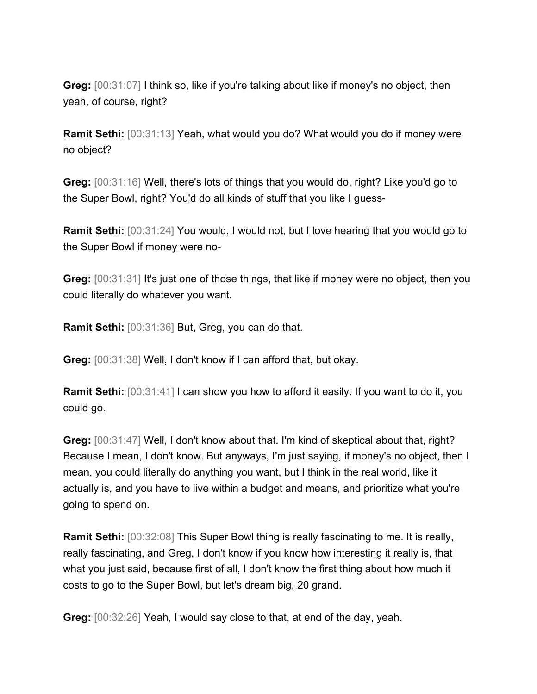**Greg:** [00:31:07] I think so, like if you're talking about like if money's no object, then yeah, of course, right?

**Ramit Sethi:** [00:31:13] Yeah, what would you do? What would you do if money were no object?

**Greg:** [00:31:16] Well, there's lots of things that you would do, right? Like you'd go to the Super Bowl, right? You'd do all kinds of stuff that you like I guess-

**Ramit Sethi:** [00:31:24] You would, I would not, but I love hearing that you would go to the Super Bowl if money were no-

**Greg:**  $[00:31:31]$  It's just one of those things, that like if money were no object, then you could literally do whatever you want.

**Ramit Sethi:** [00:31:36] But, Greg, you can do that.

**Greg:** [00:31:38] Well, I don't know if I can afford that, but okay.

**Ramit Sethi:** [00:31:41] I can show you how to afford it easily. If you want to do it, you could go.

**Greg:** [00:31:47] Well, I don't know about that. I'm kind of skeptical about that, right? Because I mean, I don't know. But anyways, I'm just saying, if money's no object, then I mean, you could literally do anything you want, but I think in the real world, like it actually is, and you have to live within a budget and means, and prioritize what you're going to spend on.

**Ramit Sethi:** [00:32:08] This Super Bowl thing is really fascinating to me. It is really, really fascinating, and Greg, I don't know if you know how interesting it really is, that what you just said, because first of all, I don't know the first thing about how much it costs to go to the Super Bowl, but let's dream big, 20 grand.

**Greg:** [00:32:26] Yeah, I would say close to that, at end of the day, yeah.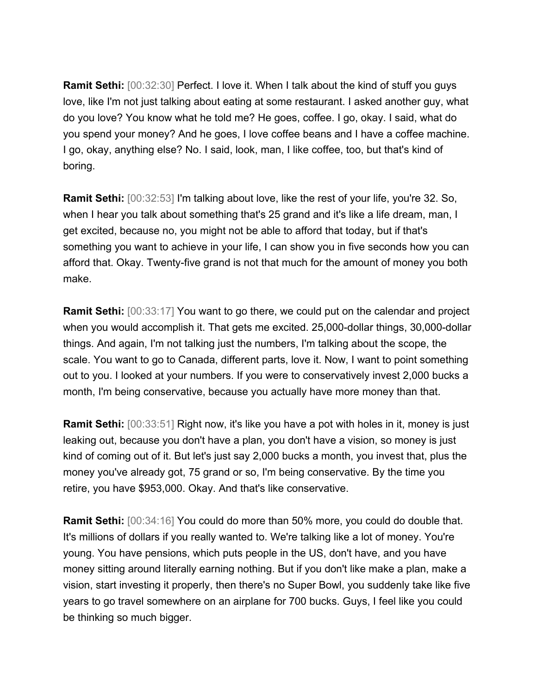**Ramit Sethi:** [00:32:30] Perfect. I love it. When I talk about the kind of stuff you guys love, like I'm not just talking about eating at some restaurant. I asked another guy, what do you love? You know what he told me? He goes, coffee. I go, okay. I said, what do you spend your money? And he goes, I love coffee beans and I have a coffee machine. I go, okay, anything else? No. I said, look, man, I like coffee, too, but that's kind of boring.

**Ramit Sethi:** [00:32:53] I'm talking about love, like the rest of your life, you're 32. So, when I hear you talk about something that's 25 grand and it's like a life dream, man, I get excited, because no, you might not be able to afford that today, but if that's something you want to achieve in your life, I can show you in five seconds how you can afford that. Okay. Twenty-five grand is not that much for the amount of money you both make.

**Ramit Sethi:** [00:33:17] You want to go there, we could put on the calendar and project when you would accomplish it. That gets me excited. 25,000-dollar things, 30,000-dollar things. And again, I'm not talking just the numbers, I'm talking about the scope, the scale. You want to go to Canada, different parts, love it. Now, I want to point something out to you. I looked at your numbers. If you were to conservatively invest 2,000 bucks a month, I'm being conservative, because you actually have more money than that.

**Ramit Sethi:** [00:33:51] Right now, it's like you have a pot with holes in it, money is just leaking out, because you don't have a plan, you don't have a vision, so money is just kind of coming out of it. But let's just say 2,000 bucks a month, you invest that, plus the money you've already got, 75 grand or so, I'm being conservative. By the time you retire, you have \$953,000. Okay. And that's like conservative.

**Ramit Sethi:** [00:34:16] You could do more than 50% more, you could do double that. It's millions of dollars if you really wanted to. We're talking like a lot of money. You're young. You have pensions, which puts people in the US, don't have, and you have money sitting around literally earning nothing. But if you don't like make a plan, make a vision, start investing it properly, then there's no Super Bowl, you suddenly take like five years to go travel somewhere on an airplane for 700 bucks. Guys, I feel like you could be thinking so much bigger.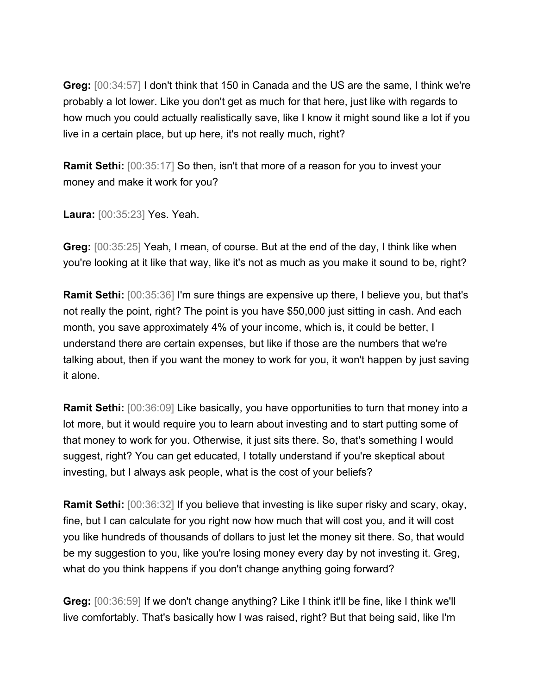**Greg:** [00:34:57] I don't think that 150 in Canada and the US are the same, I think we're probably a lot lower. Like you don't get as much for that here, just like with regards to how much you could actually realistically save, like I know it might sound like a lot if you live in a certain place, but up here, it's not really much, right?

**Ramit Sethi:** [00:35:17] So then, isn't that more of a reason for you to invest your money and make it work for you?

**Laura:** [00:35:23] Yes. Yeah.

**Greg:** [00:35:25] Yeah, I mean, of course. But at the end of the day, I think like when you're looking at it like that way, like it's not as much as you make it sound to be, right?

**Ramit Sethi:** [00:35:36] I'm sure things are expensive up there, I believe you, but that's not really the point, right? The point is you have \$50,000 just sitting in cash. And each month, you save approximately 4% of your income, which is, it could be better, I understand there are certain expenses, but like if those are the numbers that we're talking about, then if you want the money to work for you, it won't happen by just saving it alone.

**Ramit Sethi:** [00:36:09] Like basically, you have opportunities to turn that money into a lot more, but it would require you to learn about investing and to start putting some of that money to work for you. Otherwise, it just sits there. So, that's something I would suggest, right? You can get educated, I totally understand if you're skeptical about investing, but I always ask people, what is the cost of your beliefs?

**Ramit Sethi:** [00:36:32] If you believe that investing is like super risky and scary, okay, fine, but I can calculate for you right now how much that will cost you, and it will cost you like hundreds of thousands of dollars to just let the money sit there. So, that would be my suggestion to you, like you're losing money every day by not investing it. Greg, what do you think happens if you don't change anything going forward?

**Greg:** [00:36:59] If we don't change anything? Like I think it'll be fine, like I think we'll live comfortably. That's basically how I was raised, right? But that being said, like I'm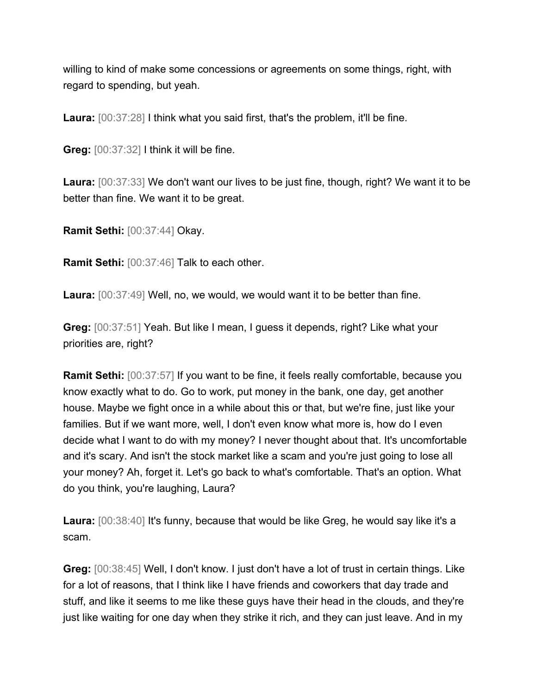willing to kind of make some concessions or agreements on some things, right, with regard to spending, but yeah.

**Laura:** [00:37:28] I think what you said first, that's the problem, it'll be fine.

**Greg:** [00:37:32] I think it will be fine.

**Laura:** [00:37:33] We don't want our lives to be just fine, though, right? We want it to be better than fine. We want it to be great.

**Ramit Sethi:** [00:37:44] Okay.

**Ramit Sethi:** [00:37:46] Talk to each other.

**Laura:** [00:37:49] Well, no, we would, we would want it to be better than fine.

**Greg:** [00:37:51] Yeah. But like I mean, I guess it depends, right? Like what your priorities are, right?

**Ramit Sethi:** [00:37:57] If you want to be fine, it feels really comfortable, because you know exactly what to do. Go to work, put money in the bank, one day, get another house. Maybe we fight once in a while about this or that, but we're fine, just like your families. But if we want more, well, I don't even know what more is, how do I even decide what I want to do with my money? I never thought about that. It's uncomfortable and it's scary. And isn't the stock market like a scam and you're just going to lose all your money? Ah, forget it. Let's go back to what's comfortable. That's an option. What do you think, you're laughing, Laura?

**Laura:** [00:38:40] It's funny, because that would be like Greg, he would say like it's a scam.

**Greg:** [00:38:45] Well, I don't know. I just don't have a lot of trust in certain things. Like for a lot of reasons, that I think like I have friends and coworkers that day trade and stuff, and like it seems to me like these guys have their head in the clouds, and they're just like waiting for one day when they strike it rich, and they can just leave. And in my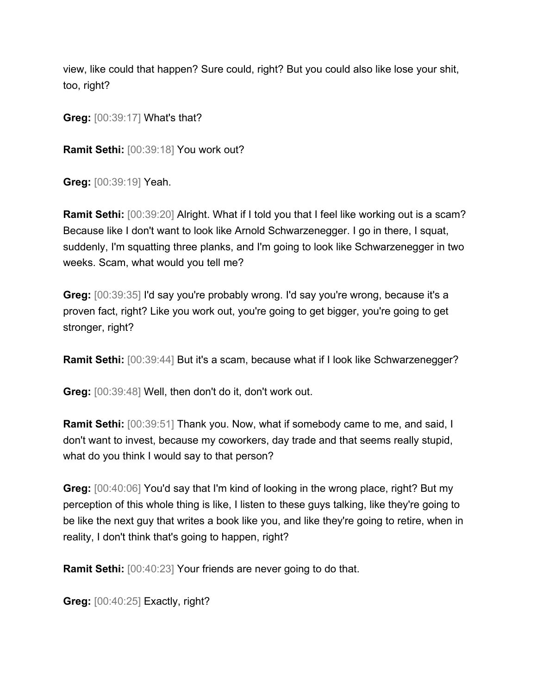view, like could that happen? Sure could, right? But you could also like lose your shit, too, right?

**Greg:** [00:39:17] What's that?

**Ramit Sethi:** [00:39:18] You work out?

**Greg:** [00:39:19] Yeah.

**Ramit Sethi:** [00:39:20] Alright. What if I told you that I feel like working out is a scam? Because like I don't want to look like Arnold Schwarzenegger. I go in there, I squat, suddenly, I'm squatting three planks, and I'm going to look like Schwarzenegger in two weeks. Scam, what would you tell me?

**Greg:** [00:39:35] I'd say you're probably wrong. I'd say you're wrong, because it's a proven fact, right? Like you work out, you're going to get bigger, you're going to get stronger, right?

**Ramit Sethi:** [00:39:44] But it's a scam, because what if I look like Schwarzenegger?

**Greg:** [00:39:48] Well, then don't do it, don't work out.

**Ramit Sethi:** [00:39:51] Thank you. Now, what if somebody came to me, and said, I don't want to invest, because my coworkers, day trade and that seems really stupid, what do you think I would say to that person?

**Greg:** [00:40:06] You'd say that I'm kind of looking in the wrong place, right? But my perception of this whole thing is like, I listen to these guys talking, like they're going to be like the next guy that writes a book like you, and like they're going to retire, when in reality, I don't think that's going to happen, right?

**Ramit Sethi:** [00:40:23] Your friends are never going to do that.

**Greg:** [00:40:25] Exactly, right?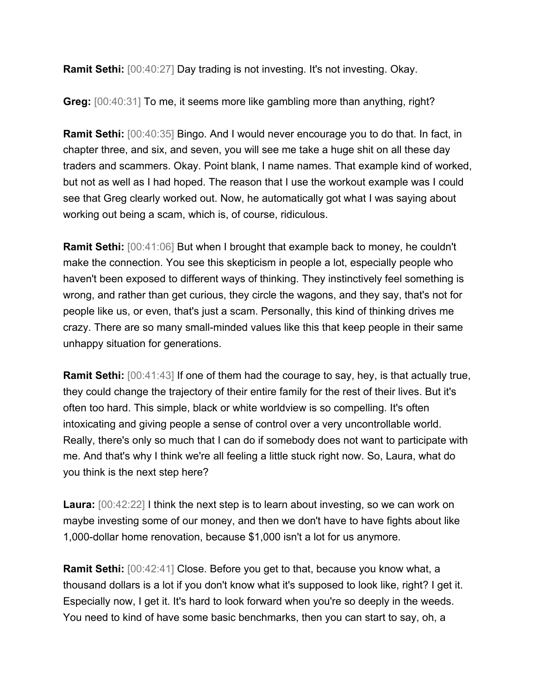**Ramit Sethi:** [00:40:27] Day trading is not investing. It's not investing. Okay.

**Greg:** [00:40:31] To me, it seems more like gambling more than anything, right?

**Ramit Sethi:** [00:40:35] Bingo. And I would never encourage you to do that. In fact, in chapter three, and six, and seven, you will see me take a huge shit on all these day traders and scammers. Okay. Point blank, I name names. That example kind of worked, but not as well as I had hoped. The reason that I use the workout example was I could see that Greg clearly worked out. Now, he automatically got what I was saying about working out being a scam, which is, of course, ridiculous.

**Ramit Sethi:** [00:41:06] But when I brought that example back to money, he couldn't make the connection. You see this skepticism in people a lot, especially people who haven't been exposed to different ways of thinking. They instinctively feel something is wrong, and rather than get curious, they circle the wagons, and they say, that's not for people like us, or even, that's just a scam. Personally, this kind of thinking drives me crazy. There are so many small-minded values like this that keep people in their same unhappy situation for generations.

**Ramit Sethi:** [00:41:43] If one of them had the courage to say, hey, is that actually true, they could change the trajectory of their entire family for the rest of their lives. But it's often too hard. This simple, black or white worldview is so compelling. It's often intoxicating and giving people a sense of control over a very uncontrollable world. Really, there's only so much that I can do if somebody does not want to participate with me. And that's why I think we're all feeling a little stuck right now. So, Laura, what do you think is the next step here?

**Laura:** [00:42:22] I think the next step is to learn about investing, so we can work on maybe investing some of our money, and then we don't have to have fights about like 1,000-dollar home renovation, because \$1,000 isn't a lot for us anymore.

**Ramit Sethi:** [00:42:41] Close. Before you get to that, because you know what, a thousand dollars is a lot if you don't know what it's supposed to look like, right? I get it. Especially now, I get it. It's hard to look forward when you're so deeply in the weeds. You need to kind of have some basic benchmarks, then you can start to say, oh, a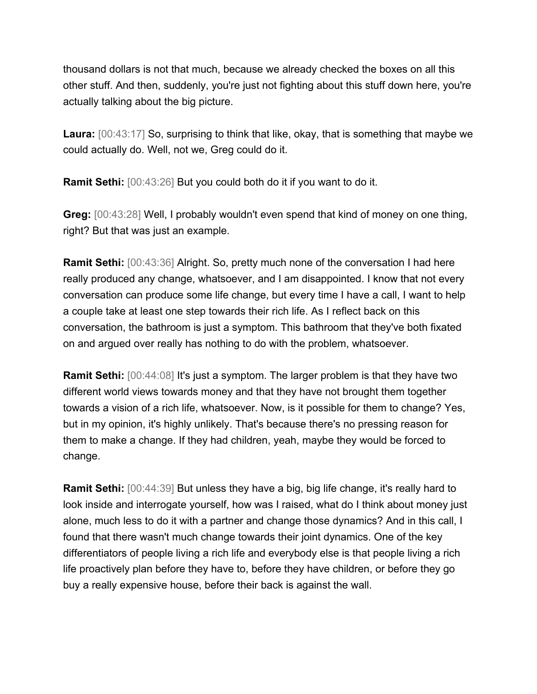thousand dollars is not that much, because we already checked the boxes on all this other stuff. And then, suddenly, you're just not fighting about this stuff down here, you're actually talking about the big picture.

**Laura:** [00:43:17] So, surprising to think that like, okay, that is something that maybe we could actually do. Well, not we, Greg could do it.

**Ramit Sethi:** [00:43:26] But you could both do it if you want to do it.

**Greg:** [00:43:28] Well, I probably wouldn't even spend that kind of money on one thing, right? But that was just an example.

**Ramit Sethi:** [00:43:36] Alright. So, pretty much none of the conversation I had here really produced any change, whatsoever, and I am disappointed. I know that not every conversation can produce some life change, but every time I have a call, I want to help a couple take at least one step towards their rich life. As I reflect back on this conversation, the bathroom is just a symptom. This bathroom that they've both fixated on and argued over really has nothing to do with the problem, whatsoever.

**Ramit Sethi:** [00:44:08] It's just a symptom. The larger problem is that they have two different world views towards money and that they have not brought them together towards a vision of a rich life, whatsoever. Now, is it possible for them to change? Yes, but in my opinion, it's highly unlikely. That's because there's no pressing reason for them to make a change. If they had children, yeah, maybe they would be forced to change.

**Ramit Sethi:** [00:44:39] But unless they have a big, big life change, it's really hard to look inside and interrogate yourself, how was I raised, what do I think about money just alone, much less to do it with a partner and change those dynamics? And in this call, I found that there wasn't much change towards their joint dynamics. One of the key differentiators of people living a rich life and everybody else is that people living a rich life proactively plan before they have to, before they have children, or before they go buy a really expensive house, before their back is against the wall.